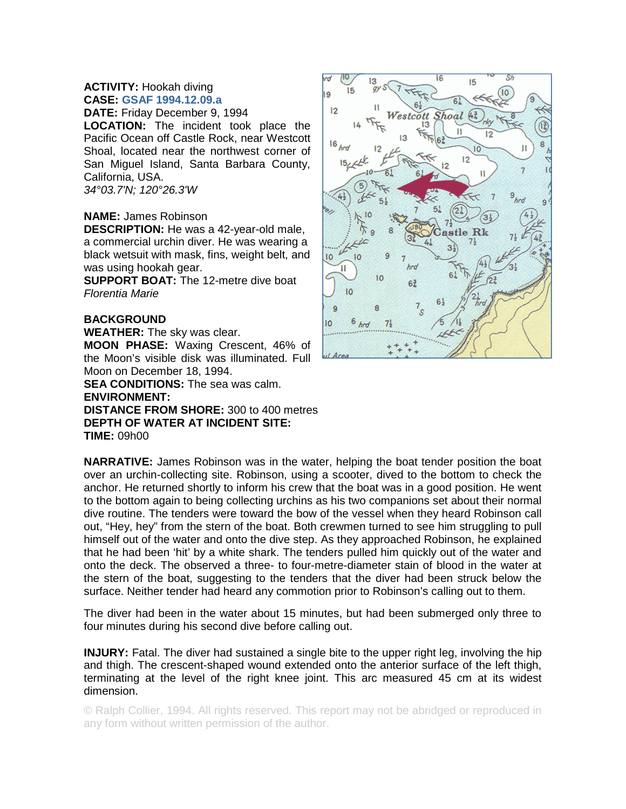## **ACTIVITY:** Hookah diving **CASE: GSAF 1994.12.09.a**

**DATE:** Friday December 9, 1994

**LOCATION:** The incident took place the Pacific Ocean off Castle Rock, near Westcott Shoal, located near the northwest corner of San Miguel Island, Santa Barbara County, California, USA. *34°03.7'N; 120°26.3'W*

## **NAME:** James Robinson

**DESCRIPTION:** He was a 42-year-old male, a commercial urchin diver. He was wearing a black wetsuit with mask, fins, weight belt, and was using hookah gear.

**SUPPORT BOAT:** The 12-metre dive boat *Florentia Marie*

## **BACKGROUND**

**WEATHER:** The sky was clear. **MOON PHASE:** Waxing Crescent, 46% of the Moon's visible disk was illuminated. Full Moon on December 18, 1994.

**SEA CONDITIONS:** The sea was calm. **ENVIRONMENT: DISTANCE FROM SHORE:** 300 to 400 metres **DEPTH OF WATER AT INCIDENT SITE:**

**TIME:** 09h00

**NARRATIVE:** James Robinson was in the water, helping the boat tender position the boat over an urchin-collecting site. Robinson, using a scooter, dived to the bottom to check the anchor. He returned shortly to inform his crew that the boat was in a good position. He went to the bottom again to being collecting urchins as his two companions set about their normal dive routine. The tenders were toward the bow of the vessel when they heard Robinson call out, "Hey, hey" from the stern of the boat. Both crewmen turned to see him struggling to pull himself out of the water and onto the dive step. As they approached Robinson, he explained that he had been 'hit' by a white shark. The tenders pulled him quickly out of the water and onto the deck. The observed a three- to four-metre-diameter stain of blood in the water at the stern of the boat, suggesting to the tenders that the diver had been struck below the surface. Neither tender had heard any commotion prior to Robinson's calling out to them.

The diver had been in the water about 15 minutes, but had been submerged only three to four minutes during his second dive before calling out.

**INJURY:** Fatal. The diver had sustained a single bite to the upper right leg, involving the hip and thigh. The crescent-shaped wound extended onto the anterior surface of the left thigh, terminating at the level of the right knee joint. This arc measured 45 cm at its widest dimension.

© Ralph Collier, 1994. All rights reserved. This report may not be abridged or reproduced in any form without written permission of the author.